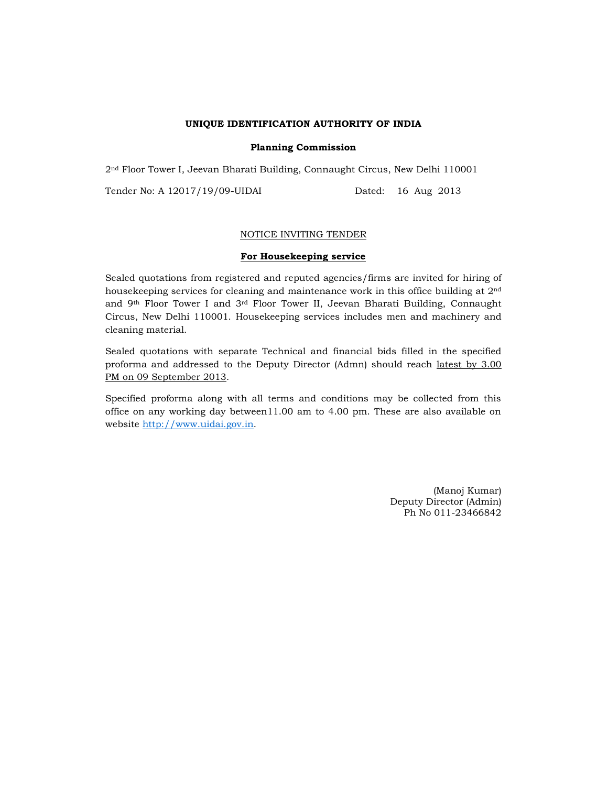#### UNIQUE IDENTIFICATION AUTHORITY OF INDIA

#### Planning Commission

2nd Floor Tower I, Jeevan Bharati Building, Connaught Circus, New Delhi 110001

Tender No: A 12017/19/09-UIDAI Dated: 16 Aug 2013

## NOTICE INVITING TENDER

## For Housekeeping service

Sealed quotations from registered and reputed agencies/firms are invited for hiring of housekeeping services for cleaning and maintenance work in this office building at 2nd and 9th Floor Tower I and 3rd Floor Tower II, Jeevan Bharati Building, Connaught Circus, New Delhi 110001. Housekeeping services includes men and machinery and cleaning material.

Sealed quotations with separate Technical and financial bids filled in the specified proforma and addressed to the Deputy Director (Admn) should reach latest by 3.00 PM on 09 September 2013.

Specified proforma along with all terms and conditions may be collected from this office on any working day between11.00 am to 4.00 pm. These are also available on website http://www.uidai.gov.in.

> (Manoj Kumar) Deputy Director (Admin) Ph No 011-23466842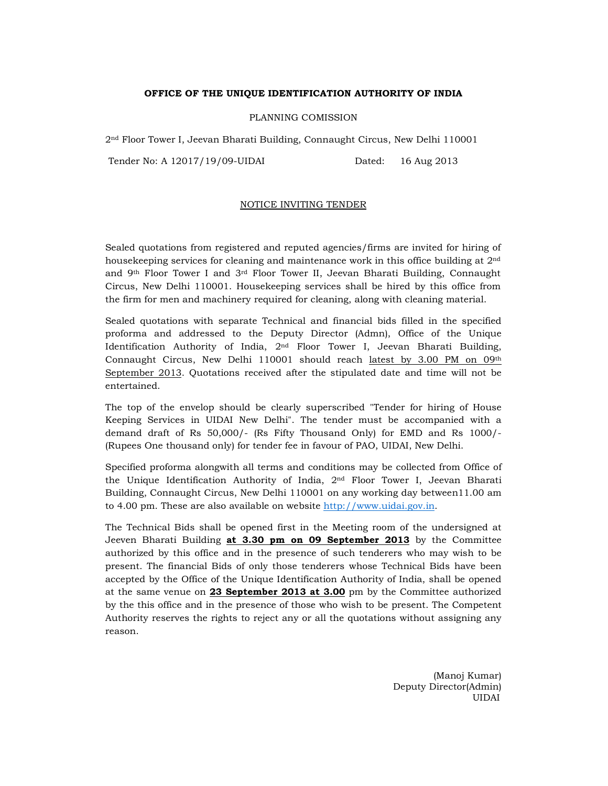## OFFICE OF THE UNIQUE IDENTIFICATION AUTHORITY OF INDIA

#### PLANNING COMISSION

2nd Floor Tower I, Jeevan Bharati Building, Connaught Circus, New Delhi 110001

Tender No: A 12017/19/09-UIDAI Dated: 16 Aug 2013

#### NOTICE INVITING TENDER

Sealed quotations from registered and reputed agencies/firms are invited for hiring of housekeeping services for cleaning and maintenance work in this office building at 2nd and 9th Floor Tower I and 3rd Floor Tower II, Jeevan Bharati Building, Connaught Circus, New Delhi 110001. Housekeeping services shall be hired by this office from the firm for men and machinery required for cleaning, along with cleaning material.

Sealed quotations with separate Technical and financial bids filled in the specified proforma and addressed to the Deputy Director (Admn), Office of the Unique Identification Authority of India, 2nd Floor Tower I, Jeevan Bharati Building, Connaught Circus, New Delhi 110001 should reach latest by 3.00 PM on 09th September 2013. Quotations received after the stipulated date and time will not be entertained.

The top of the envelop should be clearly superscribed "Tender for hiring of House Keeping Services in UIDAI New Delhi". The tender must be accompanied with a demand draft of Rs 50,000/- (Rs Fifty Thousand Only) for EMD and Rs 1000/- (Rupees One thousand only) for tender fee in favour of PAO, UIDAI, New Delhi.

Specified proforma alongwith all terms and conditions may be collected from Office of the Unique Identification Authority of India, 2nd Floor Tower I, Jeevan Bharati Building, Connaught Circus, New Delhi 110001 on any working day between11.00 am to 4.00 pm. These are also available on website http://www.uidai.gov.in.

The Technical Bids shall be opened first in the Meeting room of the undersigned at Jeeven Bharati Building at 3.30 pm on 09 September 2013 by the Committee authorized by this office and in the presence of such tenderers who may wish to be present. The financial Bids of only those tenderers whose Technical Bids have been accepted by the Office of the Unique Identification Authority of India, shall be opened at the same venue on 23 September 2013 at 3.00 pm by the Committee authorized by the this office and in the presence of those who wish to be present. The Competent Authority reserves the rights to reject any or all the quotations without assigning any reason.

> (Manoj Kumar) Deputy Director(Admin) UIDAI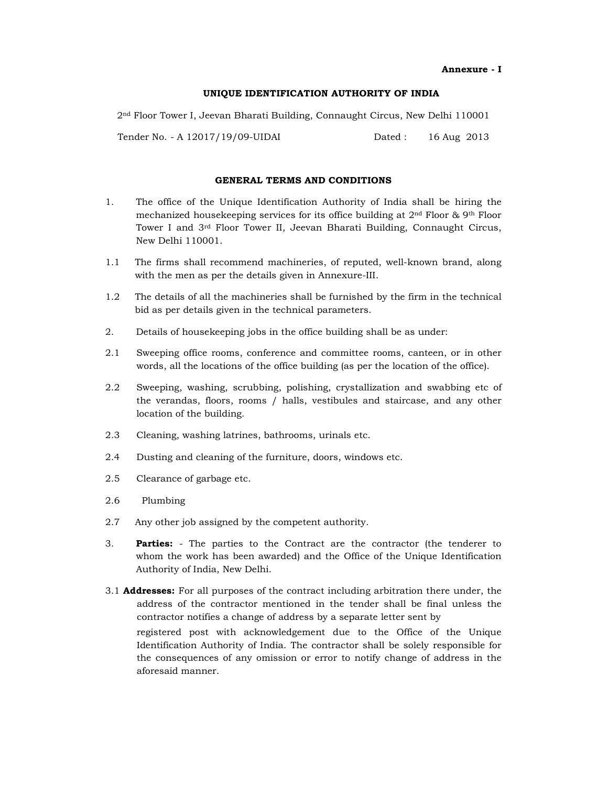Annexure - I

#### UNIQUE IDENTIFICATION AUTHORITY OF INDIA

2nd Floor Tower I, Jeevan Bharati Building, Connaught Circus, New Delhi 110001

Tender No. - A 12017/19/09-UIDAI Dated : 16 Aug 2013

## GENERAL TERMS AND CONDITIONS

- 1. The office of the Unique Identification Authority of India shall be hiring the mechanized housekeeping services for its office building at  $2<sup>nd</sup>$  Floor & 9<sup>th</sup> Floor Tower I and 3rd Floor Tower II, Jeevan Bharati Building, Connaught Circus, New Delhi 110001.
- 1.1 The firms shall recommend machineries, of reputed, well-known brand, along with the men as per the details given in Annexure-III.
- 1.2 The details of all the machineries shall be furnished by the firm in the technical bid as per details given in the technical parameters.
- 2. Details of housekeeping jobs in the office building shall be as under:
- 2.1 Sweeping office rooms, conference and committee rooms, canteen, or in other words, all the locations of the office building (as per the location of the office).
- 2.2 Sweeping, washing, scrubbing, polishing, crystallization and swabbing etc of the verandas, floors, rooms / halls, vestibules and staircase, and any other location of the building.
- 2.3 Cleaning, washing latrines, bathrooms, urinals etc.
- 2.4 Dusting and cleaning of the furniture, doors, windows etc.
- 2.5 Clearance of garbage etc.
- 2.6 Plumbing
- 2.7 Any other job assigned by the competent authority.
- 3. **Parties:** The parties to the Contract are the contractor (the tenderer to whom the work has been awarded) and the Office of the Unique Identification Authority of India, New Delhi.
- 3.1 Addresses: For all purposes of the contract including arbitration there under, the address of the contractor mentioned in the tender shall be final unless the contractor notifies a change of address by a separate letter sent by registered post with acknowledgement due to the Office of the Unique Identification Authority of India. The contractor shall be solely responsible for the consequences of any omission or error to notify change of address in the aforesaid manner.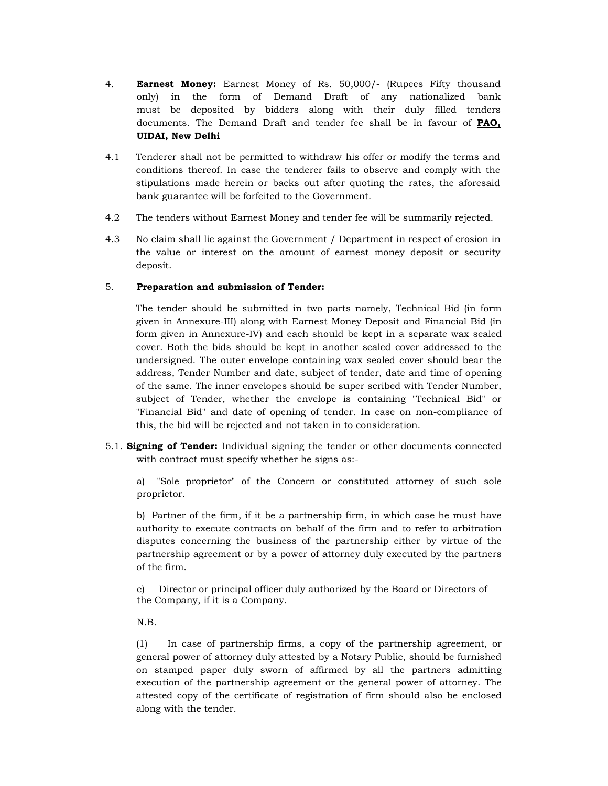- 4. **Earnest Money:** Earnest Money of Rs. 50,000/- (Rupees Fifty thousand only) in the form of Demand Draft of any nationalized bank must be deposited by bidders along with their duly filled tenders documents. The Demand Draft and tender fee shall be in favour of PAO, UIDAI, New Delhi
- 4.1 Tenderer shall not be permitted to withdraw his offer or modify the terms and conditions thereof. In case the tenderer fails to observe and comply with the stipulations made herein or backs out after quoting the rates, the aforesaid bank guarantee will be forfeited to the Government.
- 4.2 The tenders without Earnest Money and tender fee will be summarily rejected.
- 4.3 No claim shall lie against the Government / Department in respect of erosion in the value or interest on the amount of earnest money deposit or security deposit.

## 5. Preparation and submission of Tender:

The tender should be submitted in two parts namely, Technical Bid (in form given in Annexure-III) along with Earnest Money Deposit and Financial Bid (in form given in Annexure-IV) and each should be kept in a separate wax sealed cover. Both the bids should be kept in another sealed cover addressed to the undersigned. The outer envelope containing wax sealed cover should bear the address, Tender Number and date, subject of tender, date and time of opening of the same. The inner envelopes should be super scribed with Tender Number, subject of Tender, whether the envelope is containing "Technical Bid" or "Financial Bid" and date of opening of tender. In case on non-compliance of this, the bid will be rejected and not taken in to consideration.

5.1. Signing of Tender: Individual signing the tender or other documents connected with contract must specify whether he signs as:-

a) "Sole proprietor" of the Concern or constituted attorney of such sole proprietor.

b) Partner of the firm, if it be a partnership firm, in which case he must have authority to execute contracts on behalf of the firm and to refer to arbitration disputes concerning the business of the partnership either by virtue of the partnership agreement or by a power of attorney duly executed by the partners of the firm.

c) Director or principal officer duly authorized by the Board or Directors of the Company, if it is a Company.

N.B.

(1) In case of partnership firms, a copy of the partnership agreement, or general power of attorney duly attested by a Notary Public, should be furnished on stamped paper duly sworn of affirmed by all the partners admitting execution of the partnership agreement or the general power of attorney. The attested copy of the certificate of registration of firm should also be enclosed along with the tender.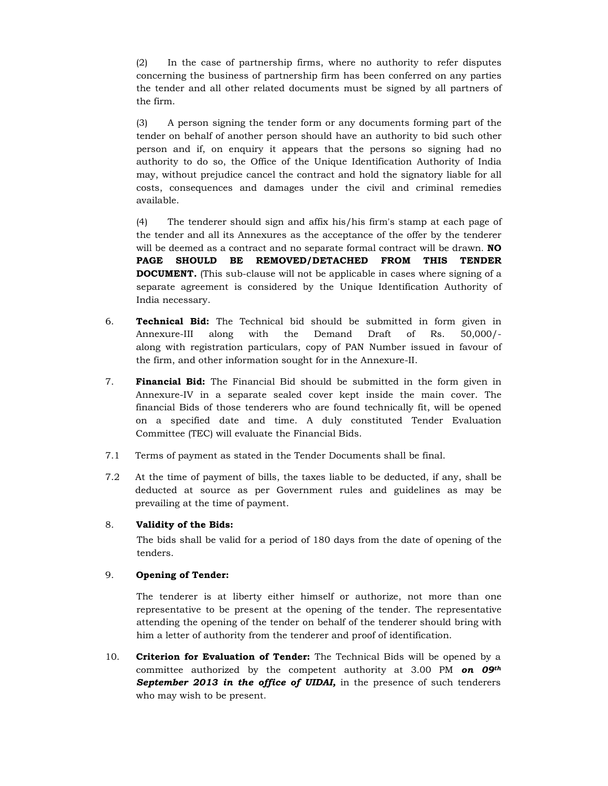(2) In the case of partnership firms, where no authority to refer disputes concerning the business of partnership firm has been conferred on any parties the tender and all other related documents must be signed by all partners of the firm.

(3) A person signing the tender form or any documents forming part of the tender on behalf of another person should have an authority to bid such other person and if, on enquiry it appears that the persons so signing had no authority to do so, the Office of the Unique Identification Authority of India may, without prejudice cancel the contract and hold the signatory liable for all costs, consequences and damages under the civil and criminal remedies available.

(4) The tenderer should sign and affix his/his firm's stamp at each page of the tender and all its Annexures as the acceptance of the offer by the tenderer will be deemed as a contract and no separate formal contract will be drawn. **NO** PAGE SHOULD BE REMOVED/DETACHED FROM THIS TENDER DOCUMENT. (This sub-clause will not be applicable in cases where signing of a separate agreement is considered by the Unique Identification Authority of India necessary.

- 6. Technical Bid: The Technical bid should be submitted in form given in Annexure-III along with the Demand Draft of Rs. 50,000/ along with registration particulars, copy of PAN Number issued in favour of the firm, and other information sought for in the Annexure-II.
- 7. Financial Bid: The Financial Bid should be submitted in the form given in Annexure-IV in a separate sealed cover kept inside the main cover. The financial Bids of those tenderers who are found technically fit, will be opened on a specified date and time. A duly constituted Tender Evaluation Committee (TEC) will evaluate the Financial Bids.
- 7.1 Terms of payment as stated in the Tender Documents shall be final.
- 7.2 At the time of payment of bills, the taxes liable to be deducted, if any, shall be deducted at source as per Government rules and guidelines as may be prevailing at the time of payment.

## 8. Validity of the Bids:

The bids shall be valid for a period of 180 days from the date of opening of the tenders.

#### 9. Opening of Tender:

The tenderer is at liberty either himself or authorize, not more than one representative to be present at the opening of the tender. The representative attending the opening of the tender on behalf of the tenderer should bring with him a letter of authority from the tenderer and proof of identification.

10. Criterion for Evaluation of Tender: The Technical Bids will be opened by a committee authorized by the competent authority at 3.00 PM on  $0.94<sup>h</sup>$ September 2013 in the office of UIDAI, in the presence of such tenderers who may wish to be present.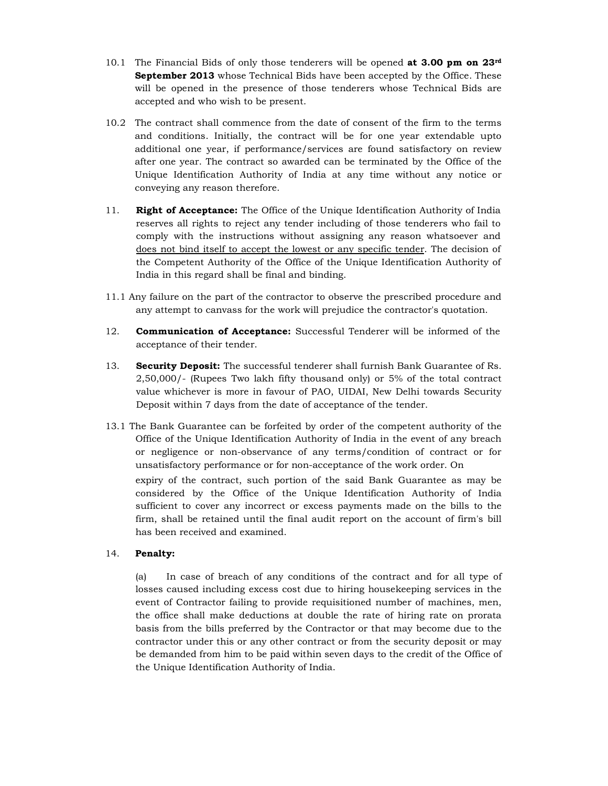- 10.1 The Financial Bids of only those tenderers will be opened at 3.00 pm on  $23<sup>rd</sup>$ September 2013 whose Technical Bids have been accepted by the Office. These will be opened in the presence of those tenderers whose Technical Bids are accepted and who wish to be present.
- 10.2 The contract shall commence from the date of consent of the firm to the terms and conditions. Initially, the contract will be for one year extendable upto additional one year, if performance/services are found satisfactory on review after one year. The contract so awarded can be terminated by the Office of the Unique Identification Authority of India at any time without any notice or conveying any reason therefore.
- 11. Right of Acceptance: The Office of the Unique Identification Authority of India reserves all rights to reject any tender including of those tenderers who fail to comply with the instructions without assigning any reason whatsoever and does not bind itself to accept the lowest or any specific tender. The decision of the Competent Authority of the Office of the Unique Identification Authority of India in this regard shall be final and binding.
- 11.1 Any failure on the part of the contractor to observe the prescribed procedure and any attempt to canvass for the work will prejudice the contractor's quotation.
- 12. **Communication of Acceptance:** Successful Tenderer will be informed of the acceptance of their tender.
- 13. Security Deposit: The successful tenderer shall furnish Bank Guarantee of Rs. 2,50,000/- (Rupees Two lakh fifty thousand only) or 5% of the total contract value whichever is more in favour of PAO, UIDAI, New Delhi towards Security Deposit within 7 days from the date of acceptance of the tender.
- 13.1 The Bank Guarantee can be forfeited by order of the competent authority of the Office of the Unique Identification Authority of India in the event of any breach or negligence or non-observance of any terms/condition of contract or for unsatisfactory performance or for non-acceptance of the work order. On expiry of the contract, such portion of the said Bank Guarantee as may be considered by the Office of the Unique Identification Authority of India sufficient to cover any incorrect or excess payments made on the bills to the firm, shall be retained until the final audit report on the account of firm's bill has been received and examined.

## 14. Penalty:

(a) In case of breach of any conditions of the contract and for all type of losses caused including excess cost due to hiring housekeeping services in the event of Contractor failing to provide requisitioned number of machines, men, the office shall make deductions at double the rate of hiring rate on prorata basis from the bills preferred by the Contractor or that may become due to the contractor under this or any other contract or from the security deposit or may be demanded from him to be paid within seven days to the credit of the Office of the Unique Identification Authority of India.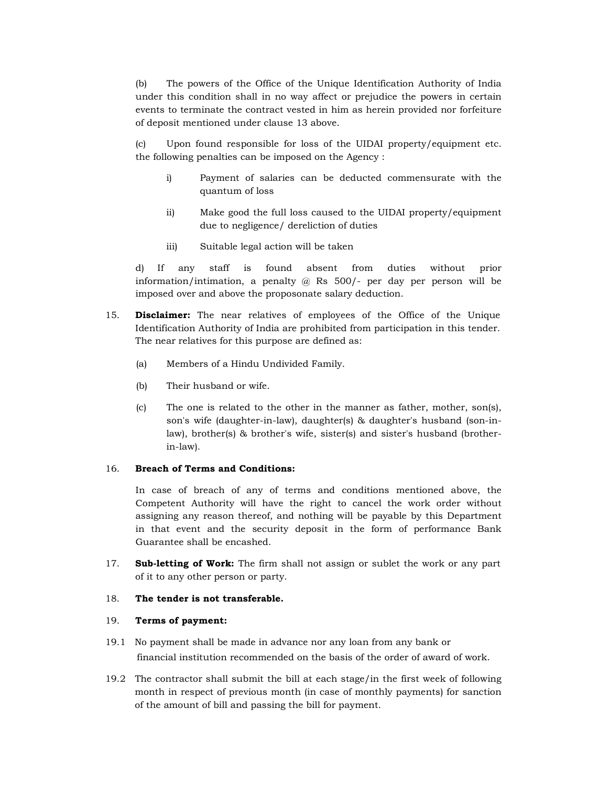(b) The powers of the Office of the Unique Identification Authority of India under this condition shall in no way affect or prejudice the powers in certain events to terminate the contract vested in him as herein provided nor forfeiture of deposit mentioned under clause 13 above.

(c) Upon found responsible for loss of the UIDAI property/equipment etc. the following penalties can be imposed on the Agency :

- i) Payment of salaries can be deducted commensurate with the quantum of loss
- ii) Make good the full loss caused to the UIDAI property/equipment due to negligence/ dereliction of duties
- iii) Suitable legal action will be taken

d) If any staff is found absent from duties without prior information/intimation, a penalty @ Rs 500/- per day per person will be imposed over and above the proposonate salary deduction.

- 15. **Disclaimer:** The near relatives of employees of the Office of the Unique Identification Authority of India are prohibited from participation in this tender. The near relatives for this purpose are defined as:
	- (a) Members of a Hindu Undivided Family.
	- (b) Their husband or wife.
	- (c) The one is related to the other in the manner as father, mother, son(s), son's wife (daughter-in-law), daughter(s) & daughter's husband (son-inlaw), brother(s) & brother's wife, sister(s) and sister's husband (brotherin-law).

#### 16. Breach of Terms and Conditions:

In case of breach of any of terms and conditions mentioned above, the Competent Authority will have the right to cancel the work order without assigning any reason thereof, and nothing will be payable by this Department in that event and the security deposit in the form of performance Bank Guarantee shall be encashed.

17. **Sub-letting of Work:** The firm shall not assign or sublet the work or any part of it to any other person or party.

#### 18. The tender is not transferable.

#### 19. Terms of payment:

- 19.1 No payment shall be made in advance nor any loan from any bank or financial institution recommended on the basis of the order of award of work.
- 19.2 The contractor shall submit the bill at each stage/in the first week of following month in respect of previous month (in case of monthly payments) for sanction of the amount of bill and passing the bill for payment.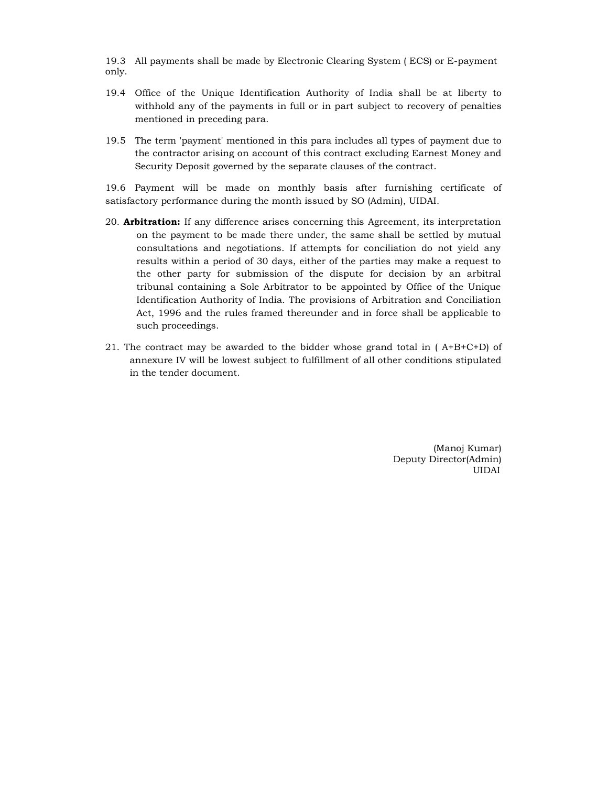19.3 All payments shall be made by Electronic Clearing System ( ECS) or E-payment only.

- 19.4 Office of the Unique Identification Authority of India shall be at liberty to withhold any of the payments in full or in part subject to recovery of penalties mentioned in preceding para.
- 19.5 The term 'payment' mentioned in this para includes all types of payment due to the contractor arising on account of this contract excluding Earnest Money and Security Deposit governed by the separate clauses of the contract.

19.6 Payment will be made on monthly basis after furnishing certificate of satisfactory performance during the month issued by SO (Admin), UIDAI.

- 20. **Arbitration:** If any difference arises concerning this Agreement, its interpretation on the payment to be made there under, the same shall be settled by mutual consultations and negotiations. If attempts for conciliation do not yield any results within a period of 30 days, either of the parties may make a request to the other party for submission of the dispute for decision by an arbitral tribunal containing a Sole Arbitrator to be appointed by Office of the Unique Identification Authority of India. The provisions of Arbitration and Conciliation Act, 1996 and the rules framed thereunder and in force shall be applicable to such proceedings.
- 21. The contract may be awarded to the bidder whose grand total in  $(A+B+C+D)$  of annexure IV will be lowest subject to fulfillment of all other conditions stipulated in the tender document.

(Manoj Kumar) Deputy Director(Admin) UIDAI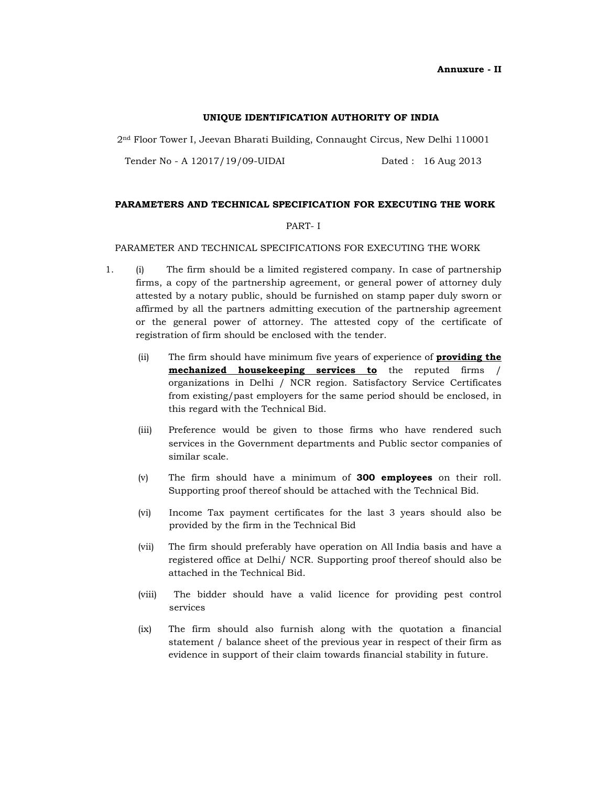Annuxure - II

#### UNIQUE IDENTIFICATION AUTHORITY OF INDIA

2nd Floor Tower I, Jeevan Bharati Building, Connaught Circus, New Delhi 110001

Tender No - A 12017/19/09-UIDAI Dated : 16 Aug 2013

#### PARAMETERS AND TECHNICAL SPECIFICATION FOR EXECUTING THE WORK

#### PART- I

#### PARAMETER AND TECHNICAL SPECIFICATIONS FOR EXECUTING THE WORK

- 1. (i) The firm should be a limited registered company. In case of partnership firms, a copy of the partnership agreement, or general power of attorney duly attested by a notary public, should be furnished on stamp paper duly sworn or affirmed by all the partners admitting execution of the partnership agreement or the general power of attorney. The attested copy of the certificate of registration of firm should be enclosed with the tender.
	- (ii) The firm should have minimum five years of experience of **providing the** mechanized housekeeping services to the reputed firms / organizations in Delhi / NCR region. Satisfactory Service Certificates from existing/past employers for the same period should be enclosed, in this regard with the Technical Bid.
	- (iii) Preference would be given to those firms who have rendered such services in the Government departments and Public sector companies of similar scale.
	- (v) The firm should have a minimum of 300 employees on their roll. Supporting proof thereof should be attached with the Technical Bid.
	- (vi) Income Tax payment certificates for the last 3 years should also be provided by the firm in the Technical Bid
	- (vii) The firm should preferably have operation on All India basis and have a registered office at Delhi/ NCR. Supporting proof thereof should also be attached in the Technical Bid.
	- (viii) The bidder should have a valid licence for providing pest control services
	- (ix) The firm should also furnish along with the quotation a financial statement / balance sheet of the previous year in respect of their firm as evidence in support of their claim towards financial stability in future.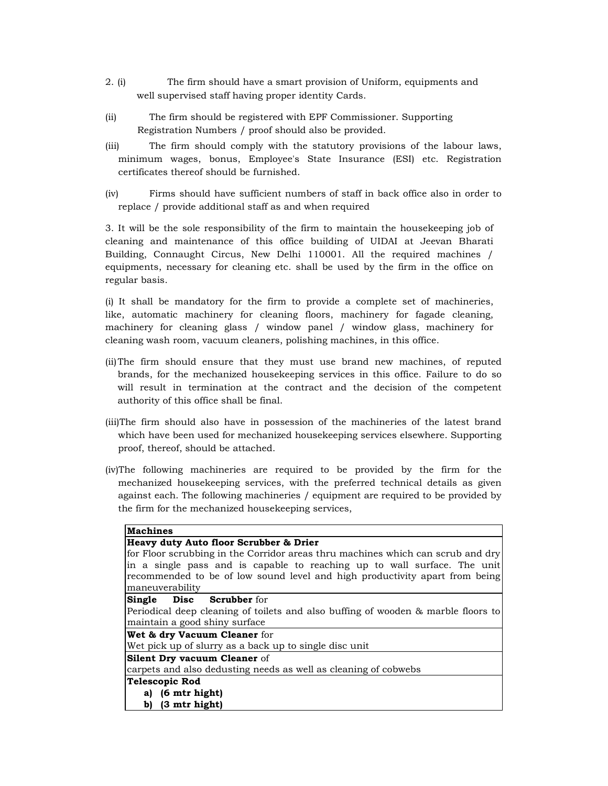- 2. (i) The firm should have a smart provision of Uniform, equipments and well supervised staff having proper identity Cards.
- (ii) The firm should be registered with EPF Commissioner. Supporting Registration Numbers / proof should also be provided.
- (iii) The firm should comply with the statutory provisions of the labour laws, minimum wages, bonus, Employee's State Insurance (ESI) etc. Registration certificates thereof should be furnished.
- (iv) Firms should have sufficient numbers of staff in back office also in order to replace / provide additional staff as and when required

3. It will be the sole responsibility of the firm to maintain the housekeeping job of cleaning and maintenance of this office building of UIDAI at Jeevan Bharati Building, Connaught Circus, New Delhi 110001. All the required machines / equipments, necessary for cleaning etc. shall be used by the firm in the office on regular basis.

(i) It shall be mandatory for the firm to provide a complete set of machineries, like, automatic machinery for cleaning floors, machinery for fagade cleaning, machinery for cleaning glass / window panel / window glass, machinery for cleaning wash room, vacuum cleaners, polishing machines, in this office.

- (ii)The firm should ensure that they must use brand new machines, of reputed brands, for the mechanized housekeeping services in this office. Failure to do so will result in termination at the contract and the decision of the competent authority of this office shall be final.
- (iii)The firm should also have in possession of the machineries of the latest brand which have been used for mechanized housekeeping services elsewhere. Supporting proof, thereof, should be attached.
- (iv)The following machineries are required to be provided by the firm for the mechanized housekeeping services, with the preferred technical details as given against each. The following machineries / equipment are required to be provided by the firm for the mechanized housekeeping services,

| <b>Machines</b>                                                                   |
|-----------------------------------------------------------------------------------|
| Heavy duty Auto floor Scrubber & Drier                                            |
| for Floor scrubbing in the Corridor areas thru machines which can scrub and dry   |
| in a single pass and is capable to reaching up to wall surface. The unit          |
| recommended to be of low sound level and high productivity apart from being       |
| maneuverability                                                                   |
| <b>Single Disc Scrubber</b> for                                                   |
| Periodical deep cleaning of toilets and also buffing of wooden & marble floors to |
| maintain a good shiny surface                                                     |
| Wet & dry Vacuum Cleaner for                                                      |
| Wet pick up of slurry as a back up to single disc unit                            |
| Silent Dry vacuum Cleaner of                                                      |
| carpets and also dedusting needs as well as cleaning of cobwebs                   |
| <b>Telescopic Rod</b>                                                             |
| a) (6 mtr hight)                                                                  |
| b) $(3 \text{ mtr high})$                                                         |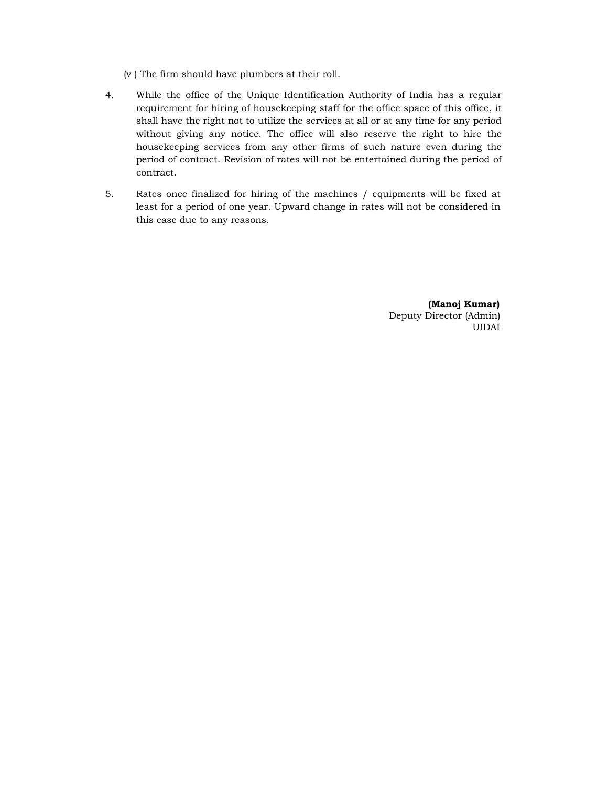(v ) The firm should have plumbers at their roll.

- 4. While the office of the Unique Identification Authority of India has a regular requirement for hiring of housekeeping staff for the office space of this office, it shall have the right not to utilize the services at all or at any time for any period without giving any notice. The office will also reserve the right to hire the housekeeping services from any other firms of such nature even during the period of contract. Revision of rates will not be entertained during the period of contract.
- 5. Rates once finalized for hiring of the machines / equipments will be fixed at least for a period of one year. Upward change in rates will not be considered in this case due to any reasons.

(Manoj Kumar) Deputy Director (Admin) UIDAI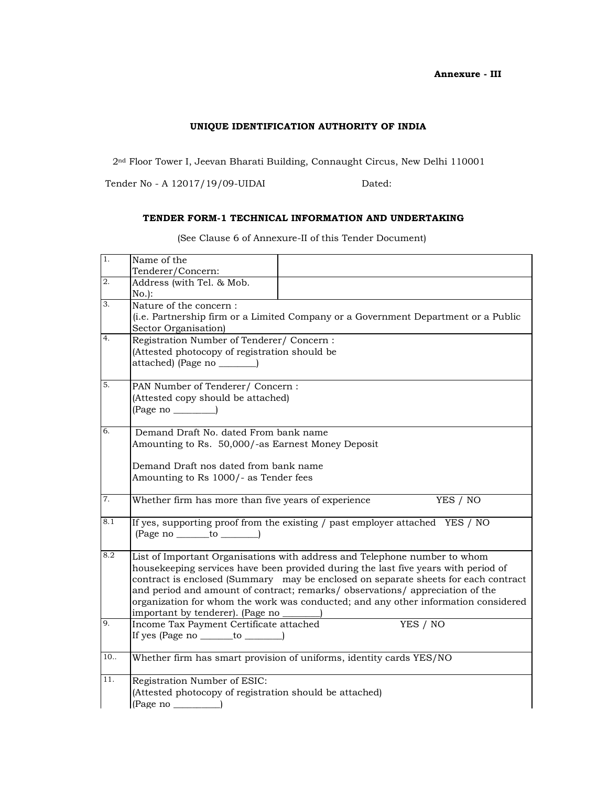## UNIQUE IDENTIFICATION AUTHORITY OF INDIA

2nd Floor Tower I, Jeevan Bharati Building, Connaught Circus, New Delhi 110001

Tender No - A 12017/19/09-UIDAI Dated:

## TENDER FORM-1 TECHNICAL INFORMATION AND UNDERTAKING

| 1.  | Name of the                                                                        |  |  |  |  |
|-----|------------------------------------------------------------------------------------|--|--|--|--|
| 2.  | Tenderer/Concern:<br>Address (with Tel. & Mob.                                     |  |  |  |  |
|     | $No.$ :                                                                            |  |  |  |  |
| 3.  | Nature of the concern:                                                             |  |  |  |  |
|     | (i.e. Partnership firm or a Limited Company or a Government Department or a Public |  |  |  |  |
|     | Sector Organisation)                                                               |  |  |  |  |
| 4.  | Registration Number of Tenderer/ Concern:                                          |  |  |  |  |
|     | (Attested photocopy of registration should be                                      |  |  |  |  |
|     | attached) (Page no ________)                                                       |  |  |  |  |
|     |                                                                                    |  |  |  |  |
| 5.  | PAN Number of Tenderer/ Concern:                                                   |  |  |  |  |
|     | (Attested copy should be attached)                                                 |  |  |  |  |
|     | $(Page no \_\_$                                                                    |  |  |  |  |
| 6.  | Demand Draft No. dated From bank name                                              |  |  |  |  |
|     | Amounting to Rs. 50,000/-as Earnest Money Deposit                                  |  |  |  |  |
|     |                                                                                    |  |  |  |  |
|     | Demand Draft nos dated from bank name                                              |  |  |  |  |
|     | Amounting to Rs 1000/- as Tender fees                                              |  |  |  |  |
|     |                                                                                    |  |  |  |  |
| 7.  | Whether firm has more than five years of experience<br>YES / NO                    |  |  |  |  |
| 8.1 | If yes, supporting proof from the existing / past employer attached YES / NO       |  |  |  |  |
|     | $(Page no __ to __)$                                                               |  |  |  |  |
| 8.2 | List of Important Organisations with address and Telephone number to whom          |  |  |  |  |
|     | housekeeping services have been provided during the last five years with period of |  |  |  |  |
|     | contract is enclosed (Summary may be enclosed on separate sheets for each contract |  |  |  |  |
|     | and period and amount of contract; remarks/observations/appreciation of the        |  |  |  |  |
|     | organization for whom the work was conducted; and any other information considered |  |  |  |  |
|     | important by tenderer). (Page no                                                   |  |  |  |  |
| 9.  | YES / NO<br>Income Tax Payment Certificate attached                                |  |  |  |  |
|     | If yes (Page no _______ to _______)                                                |  |  |  |  |
| 10. | Whether firm has smart provision of uniforms, identity cards YES/NO                |  |  |  |  |
|     |                                                                                    |  |  |  |  |
| 11. | Registration Number of ESIC:                                                       |  |  |  |  |
|     | (Attested photocopy of registration should be attached)<br>$(Page no \_)$          |  |  |  |  |
|     |                                                                                    |  |  |  |  |

(See Clause 6 of Annexure-II of this Tender Document)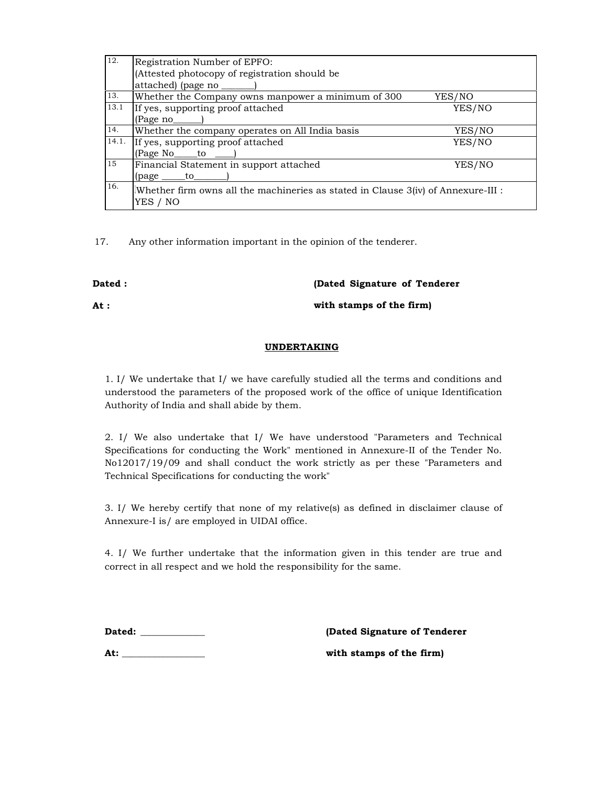| 12.   | Registration Number of EPFO:                                                        |        |  |
|-------|-------------------------------------------------------------------------------------|--------|--|
|       | (Attested photocopy of registration should be                                       |        |  |
|       | attached) (page no ________)                                                        |        |  |
| 13.   | Whether the Company owns manpower a minimum of 300                                  | YES/NO |  |
| 13.1  | If yes, supporting proof attached                                                   | YES/NO |  |
|       | (Page no                                                                            |        |  |
| 14.   | Whether the company operates on All India basis                                     | YES/NO |  |
| 14.1. | If yes, supporting proof attached                                                   | YES/NO |  |
|       | (Page No <sub>______</sub> to ____                                                  |        |  |
| 15    | Financial Statement in support attached                                             | YES/NO |  |
|       | $(page \_\_to$                                                                      |        |  |
| 16.   | Whether firm owns all the machineries as stated in Clause $3(iv)$ of Annexure-III : |        |  |
|       | YES / NO                                                                            |        |  |
|       |                                                                                     |        |  |

17. Any other information important in the opinion of the tenderer.

# Dated :

(Dated Signature of Tenderer

At :

with stamps of the firm)

## UNDERTAKING

1. I/ We undertake that I/ we have carefully studied all the terms and conditions and understood the parameters of the proposed work of the office of unique Identification Authority of India and shall abide by them.

2. I/ We also undertake that I/ We have understood "Parameters and Technical Specifications for conducting the Work" mentioned in Annexure-II of the Tender No. No12017/19/09 and shall conduct the work strictly as per these "Parameters and Technical Specifications for conducting the work"

3. I/ We hereby certify that none of my relative(s) as defined in disclaimer clause of Annexure-I is/ are employed in UIDAI office.

4. I/ We further undertake that the information given in this tender are true and correct in all respect and we hold the responsibility for the same.

Dated: \_\_\_\_\_\_\_\_\_\_\_\_\_\_ (Dated Signature of Tenderer

At: \_\_\_\_\_\_\_\_\_\_\_\_\_\_\_\_\_\_ with stamps of the firm)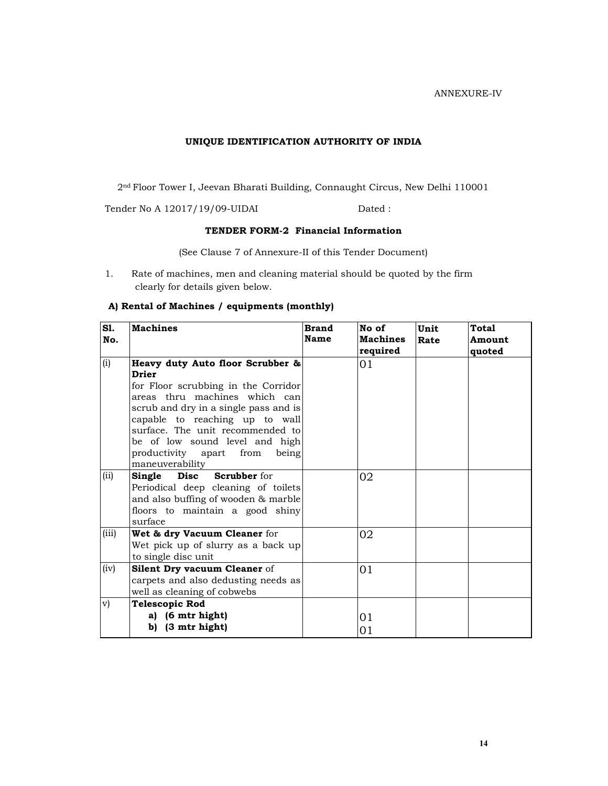ANNEXURE-IV

## UNIQUE IDENTIFICATION AUTHORITY OF INDIA

2nd Floor Tower I, Jeevan Bharati Building, Connaught Circus, New Delhi 110001

Tender No A 12017/19/09-UIDAI Dated :

# TENDER FORM-2 Financial Information

(See Clause 7 of Annexure-II of this Tender Document)

1. Rate of machines, men and cleaning material should be quoted by the firm clearly for details given below.

## A) Rental of Machines / equipments (monthly)

| S1.<br>No. | <b>Machines</b>                                                                                                                                                                                                                                                                                                                  | <b>Brand</b><br>Name | No of<br><b>Machines</b><br>required | Unit<br>Rate | Total<br>Amount<br>quoted |
|------------|----------------------------------------------------------------------------------------------------------------------------------------------------------------------------------------------------------------------------------------------------------------------------------------------------------------------------------|----------------------|--------------------------------------|--------------|---------------------------|
| (i)        | Heavy duty Auto floor Scrubber &<br><b>Drier</b><br>for Floor scrubbing in the Corridor<br>areas thru machines which can<br>scrub and dry in a single pass and is<br>capable to reaching up to wall<br>surface. The unit recommended to<br>be of low sound level and high<br>productivity apart from<br>being<br>maneuverability |                      | 01                                   |              |                           |
| (ii)       | Single Disc Scrubber for<br>Periodical deep cleaning of toilets<br>and also buffing of wooden & marble<br>floors to maintain a good shiny<br>surface                                                                                                                                                                             |                      | 02                                   |              |                           |
| (iii)      | Wet & dry Vacuum Cleaner for<br>Wet pick up of slurry as a back up<br>to single disc unit                                                                                                                                                                                                                                        |                      | 02                                   |              |                           |
| (iv)       | <b>Silent Dry vacuum Cleaner of</b><br>carpets and also dedusting needs as<br>well as cleaning of cobwebs                                                                                                                                                                                                                        |                      | 01                                   |              |                           |
| v)         | <b>Telescopic Rod</b><br>a) (6 mtr hight)<br>(3 mtr hight)<br>b)                                                                                                                                                                                                                                                                 |                      | 01<br>01                             |              |                           |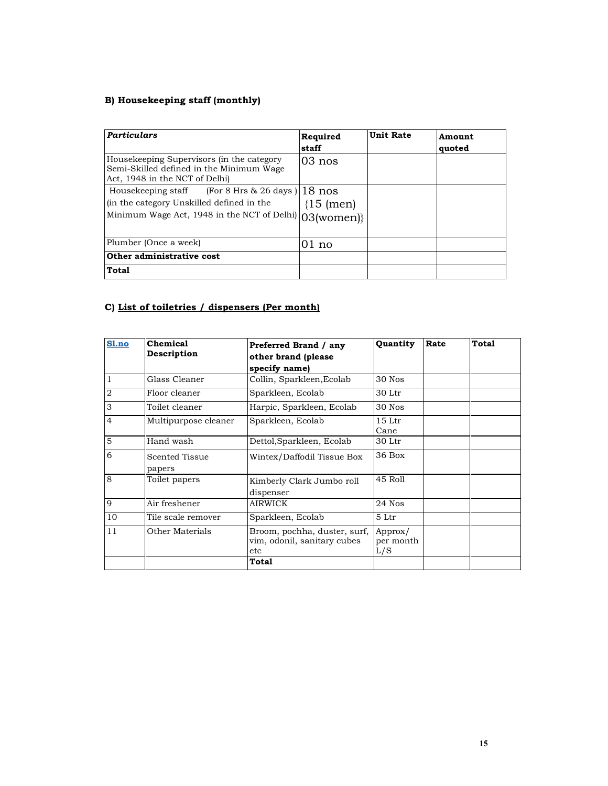# B) Housekeeping staff (monthly)

| <b>Particulars</b>                                                                                                                                        | Required<br><b>staff</b> | <b>Unit Rate</b> | Amount<br>quoted |
|-----------------------------------------------------------------------------------------------------------------------------------------------------------|--------------------------|------------------|------------------|
| Housekeeping Supervisors (in the category<br>Semi-Skilled defined in the Minimum Wage<br>Act, 1948 in the NCT of Delhi)                                   | $103$ nos                |                  |                  |
| Housekeeping staff (For 8 Hrs $\&$ 26 days) 18 nos<br>(in the category Unskilled defined in the<br>Minimum Wage Act, 1948 in the NCT of Delhi) 03(women)} | $(15 \text{ (men)}$      |                  |                  |
| Plumber (Once a week)                                                                                                                                     | $01$ no                  |                  |                  |
| Other administrative cost                                                                                                                                 |                          |                  |                  |
| <b>Total</b>                                                                                                                                              |                          |                  |                  |

# C) List of toiletries / dispensers (Per month)

| Sl.no          | Chemical                 | Preferred Brand / any                                              | Quantity                    | Rate | Total |
|----------------|--------------------------|--------------------------------------------------------------------|-----------------------------|------|-------|
|                | Description              | other brand (please                                                |                             |      |       |
|                |                          | specify name)                                                      |                             |      |       |
| 1              | Glass Cleaner            | Collin, Sparkleen, Ecolab                                          | 30 Nos                      |      |       |
| $\overline{2}$ | Floor cleaner            | Sparkleen, Ecolab                                                  | 30 Ltr                      |      |       |
| 3              | Toilet cleaner           | Harpic, Sparkleen, Ecolab                                          | 30 Nos                      |      |       |
| $\overline{4}$ | Multipurpose cleaner     | Sparkleen, Ecolab                                                  | 15 <sub>ctr</sub><br>Cane   |      |       |
| 5              | Hand wash                | Dettol, Sparkleen, Ecolab                                          | 30 Ltr                      |      |       |
| 6              | Scented Tissue<br>papers | Wintex/Daffodil Tissue Box                                         | 36 Box                      |      |       |
| 8              | Toilet papers            | Kimberly Clark Jumbo roll<br>dispenser                             | 45 Roll                     |      |       |
| 9              | Air freshener            | <b>AIRWICK</b>                                                     | 24 Nos                      |      |       |
| 10             | Tile scale remover       | Sparkleen, Ecolab                                                  | 5 Ltr                       |      |       |
| 11             | Other Materials          | Broom, pochha, duster, surf,<br>vim, odonil, sanitary cubes<br>etc | Approx/<br>per month<br>L/S |      |       |
|                |                          | Total                                                              |                             |      |       |